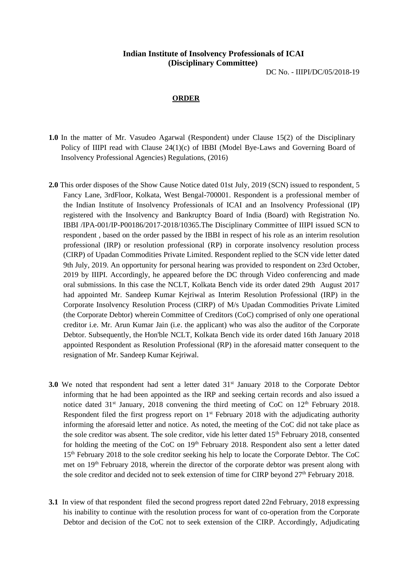## **Indian Institute of Insolvency Professionals of ICAI (Disciplinary Committee)**

DC No. - IIIPI/DC/05/2018-19

## **ORDER**

- **1.0** In the matter of Mr. Vasudeo Agarwal (Respondent) under Clause 15(2) of the Disciplinary Policy of IIIPI read with Clause 24(1)(c) of IBBI (Model Bye-Laws and Governing Board of Insolvency Professional Agencies) Regulations, (2016)
- **2.0** This order disposes of the Show Cause Notice dated 01st July, 2019 (SCN) issued to respondent, 5 Fancy Lane, 3rdFloor, Kolkata, West Bengal-700001. Respondent is a professional member of the Indian Institute of Insolvency Professionals of ICAI and an Insolvency Professional (IP) registered with the Insolvency and Bankruptcy Board of India (Board) with Registration No. IBBI /IPA-001/IP-P00186/2017-2018/10365.The Disciplinary Committee of IIIPI issued SCN to respondent , based on the order passed by the IBBI in respect of his role as an interim resolution professional (IRP) or resolution professional (RP) in corporate insolvency resolution process (CIRP) of Upadan Commodities Private Limited. Respondent replied to the SCN vide letter dated 9th July, 2019. An opportunity for personal hearing was provided to respondent on 23rd October, 2019 by IIIPI. Accordingly, he appeared before the DC through Video conferencing and made oral submissions. In this case the NCLT, Kolkata Bench vide its order dated 29th August 2017 had appointed Mr. Sandeep Kumar Kejriwal as Interim Resolution Professional (IRP) in the Corporate Insolvency Resolution Process (CIRP) of M/s Upadan Commodities Private Limited (the Corporate Debtor) wherein Committee of Creditors (CoC) comprised of only one operational creditor i.e. Mr. Arun Kumar Jain (i.e. the applicant) who was also the auditor of the Corporate Debtor. Subsequently, the Hon'ble NCLT, Kolkata Bench vide its order dated 16th January 2018 appointed Respondent as Resolution Professional (RP) in the aforesaid matter consequent to the resignation of Mr. Sandeep Kumar Kejriwal.
- **3.0** We noted that respondent had sent a letter dated 31<sup>st</sup> January 2018 to the Corporate Debtor informing that he had been appointed as the IRP and seeking certain records and also issued a notice dated  $31<sup>st</sup>$  January, 2018 convening the third meeting of CoC on  $12<sup>th</sup>$  February 2018. Respondent filed the first progress report on 1<sup>st</sup> February 2018 with the adjudicating authority informing the aforesaid letter and notice. As noted, the meeting of the CoC did not take place as the sole creditor was absent. The sole creditor, vide his letter dated 15<sup>th</sup> February 2018, consented for holding the meeting of the CoC on  $19<sup>th</sup>$  February 2018. Respondent also sent a letter dated 15<sup>th</sup> February 2018 to the sole creditor seeking his help to locate the Corporate Debtor. The CoC met on 19th February 2018, wherein the director of the corporate debtor was present along with the sole creditor and decided not to seek extension of time for CIRP beyond 27<sup>th</sup> February 2018.
- **3.1** In view of that respondent filed the second progress report dated 22nd February, 2018 expressing his inability to continue with the resolution process for want of co-operation from the Corporate Debtor and decision of the CoC not to seek extension of the CIRP. Accordingly, Adjudicating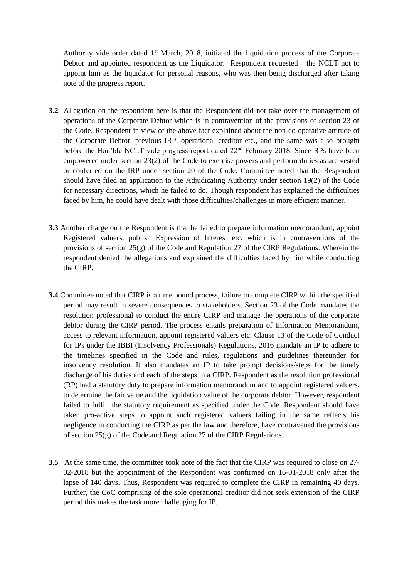Authority vide order dated 1<sup>st</sup> March, 2018, initiated the liquidation process of the Corporate Debtor and appointed respondent as the Liquidator. Respondent requested the NCLT not to appoint him as the liquidator for personal reasons, who was then being discharged after taking note of the progress report.

- **3.2** Allegation on the respondent here is that the Respondent did not take over the management of operations of the Corporate Debtor which is in contravention of the provisions of section 23 of the Code. Respondent in view of the above fact explained about the non-co-operative attitude of the Corporate Debtor, previous IRP, operational creditor etc., and the same was also brought before the Hon'ble NCLT vide progress report dated 22nd February 2018. Since RPs have been empowered under section 23(2) of the Code to exercise powers and perform duties as are vested or conferred on the IRP under section 20 of the Code. Committee noted that the Respondent should have filed an application to the Adjudicating Authority under section 19(2) of the Code for necessary directions, which he failed to do. Though respondent has explained the difficulties faced by him, he could have dealt with those difficulties/challenges in more efficient manner.
- **3.3** Another charge on the Respondent is that he failed to prepare information memorandum, appoint Registered valuers, publish Expression of Interest etc. which is in contraventions of the provisions of section 25(g) of the Code and Regulation 27 of the CIRP Regulations. Wherein the respondent denied the allegations and explained the difficulties faced by him while conducting the CIRP.
- **3.4** Committee noted that CIRP is a time bound process, failure to complete CIRP within the specified period may result in severe consequences to stakeholders. Section 23 of the Code mandates the resolution professional to conduct the entire CIRP and manage the operations of the corporate debtor during the CIRP period. The process entails preparation of Information Memorandum, access to relevant information, appoint registered valuers etc. Clause 13 of the Code of Conduct for IPs under the IBBI (Insolvency Professionals) Regulations, 2016 mandate an IP to adhere to the timelines specified in the Code and rules, regulations and guidelines thereunder for insolvency resolution. It also mandates an IP to take prompt decisions/steps for the timely discharge of his duties and each of the steps in a CIRP. Respondent as the resolution professional (RP) had a statutory duty to prepare information memorandum and to appoint registered valuers, to determine the fair value and the liquidation value of the corporate debtor. However, respondent failed to fulfill the statutory requirement as specified under the Code. Respondent should have taken pro-active steps to appoint such registered valuers failing in the same reflects his negligence in conducting the CIRP as per the law and therefore, have contravened the provisions of section 25(g) of the Code and Regulation 27 of the CIRP Regulations.
- **3.5** At the same time, the committee took note of the fact that the CIRP was required to close on 27-02-2018 but the appointment of the Respondent was confirmed on 16-01-2018 only after the lapse of 140 days. Thus, Respondent was required to complete the CIRP in remaining 40 days. Further, the CoC comprising of the sole operational creditor did not seek extension of the CIRP period this makes the task more challenging for IP.